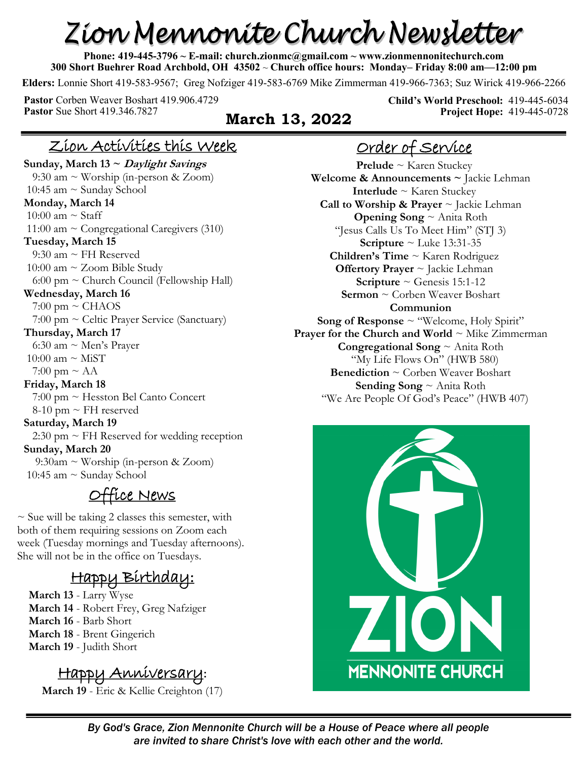# Zion Mennonite Church Newsletter

**Phone: 419-445-3796 ~ E-mail: church.zionmc@gmail.com ~ www.zionmennonitechurch.com 300 Short Buehrer Road Archbold, OH 43502** ~ **Church office hours: Monday– Friday 8:00 am—12:00 pm** 

**Elders:** Lonnie Short 419-583-9567; Greg Nofziger 419-583-6769 Mike Zimmerman 419-966-7363; Suz Wirick 419-966-2266

**Pastor** Corben Weaver Boshart 419.906.4729 **Pastor** Sue Short 419.346.7827 **March 13, 2022** 

**Child's World Preschool:** 419-445-6034 **Project Hope:** 419-445-0728

#### Zion Activities this Week

**Sunday, March 13 ~ Daylight Savings** 9:30 am ~ Worship (in-person & Zoom) 10:45 am  $\sim$  Sunday School **Monday, March 14** 10:00 am  $\sim$  Staff 11:00 am  $\sim$  Congregational Caregivers (310) **Tuesday, March 15** 9:30 am ~ FH Reserved 10:00 am ~ Zoom Bible Study  $6:00 \text{ pm} \sim$  Church Council (Fellowship Hall) **Wednesday, March 16**  $7:00 \text{ pm} \sim \text{CHAOS}$  7:00 pm ~ Celtic Prayer Service (Sanctuary) **Thursday, March 17** 6:30 am ~ Men's Prayer 10:00 am  $\sim$  MiST 7:00 pm  $\sim$  AA **Friday, March 18** 7:00 pm ~ Hesston Bel Canto Concert  $8-10$  pm  $\sim$  FH reserved **Saturday, March 19**  $2:30$  pm  $\sim$  FH Reserved for wedding reception **Sunday, March 20**  9:30am ~ Worship (in-person & Zoom) 10:45 am  $\sim$  Sunday School

#### Office News

 $\sim$  Sue will be taking 2 classes this semester, with both of them requiring sessions on Zoom each week (Tuesday mornings and Tuesday afternoons). She will not be in the office on Tuesdays.

#### Happy Birthday:

**March 13** - Larry Wyse **March 14** - Robert Frey, Greg Nafziger **March 16** - Barb Short **March 18** - Brent Gingerich **March 19** - Judith Short

#### Happy Anniversary**:**

**March 19** - Eric & Kellie Creighton (17)

## Order of Service

**Prelude** ~ Karen Stuckey **Welcome & Announcements ~** Jackie Lehman **Interlude** ~ Karen Stuckey **Call to Worship & Prayer** ~ Jackie Lehman **Opening Song** ~ Anita Roth "Jesus Calls Us To Meet Him" (STJ 3) **Scripture**  $\sim$  Luke 13:31-35 **Children's Time** ~ Karen Rodriguez **Offertory Prayer** ~ Jackie Lehman **Scripture**  $\sim$  Genesis 15:1-12 **Sermon** ~ Corben Weaver Boshart **Communion Song of Response** ~ "Welcome, Holy Spirit" **Prayer for the Church and World**  $\sim$  Mike Zimmerman **Congregational Song** ~ Anita Roth "My Life Flows On" (HWB 580) **Benediction** ~ Corben Weaver Boshart **Sending Song** ~ Anita Roth "We Are People Of God's Peace" (HWB 407)

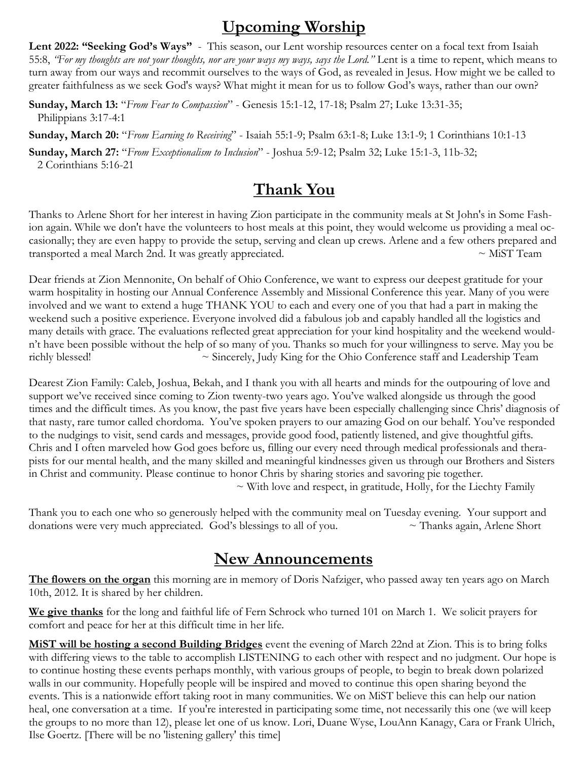## **Upcoming Worship**

Lent 2022: "Seeking God's Ways" - This season, our Lent worship resources center on a focal text from Isaiah 55:8, *"For my thoughts are not your thoughts, nor are your ways my ways, says the Lord."* Lent is a time to repent, which means to turn away from our ways and recommit ourselves to the ways of God, as revealed in Jesus. How might we be called to greater faithfulness as we seek God's ways? What might it mean for us to follow God's ways, rather than our own?

**Sunday, March 13:** "*From Fear to Compassion*" - Genesis 15:1-12, 17-18; Psalm 27; Luke 13:31-35; Philippians 3:17-4:1

**Sunday, March 20:** "*From Earning to Receiving*" - Isaiah 55:1-9; Psalm 63:1-8; Luke 13:1-9; 1 Corinthians 10:1-13

**Sunday, March 27:** "*From Exceptionalism to Inclusion*" - Joshua 5:9-12; Psalm 32; Luke 15:1-3, 11b-32; 2 Corinthians 5:16-21

#### **Thank You**

Thanks to Arlene Short for her interest in having Zion participate in the community meals at St John's in Some Fashion again. While we don't have the volunteers to host meals at this point, they would welcome us providing a meal occasionally; they are even happy to provide the setup, serving and clean up crews. Arlene and a few others prepared and transported a meal March 2nd. It was greatly appreciated.  $\sim$  MiST Team

Dear friends at Zion Mennonite, On behalf of Ohio Conference, we want to express our deepest gratitude for your warm hospitality in hosting our Annual Conference Assembly and Missional Conference this year. Many of you were involved and we want to extend a huge THANK YOU to each and every one of you that had a part in making the weekend such a positive experience. Everyone involved did a fabulous job and capably handled all the logistics and many details with grace. The evaluations reflected great appreciation for your kind hospitality and the weekend wouldn't have been possible without the help of so many of you. Thanks so much for your willingness to serve. May you be richly blessed! ~ Sincerely, Judy King for the Ohio Conference staff and Leadership Team

Dearest Zion Family: Caleb, Joshua, Bekah, and I thank you with all hearts and minds for the outpouring of love and support we've received since coming to Zion twenty-two years ago. You've walked alongside us through the good times and the difficult times. As you know, the past five years have been especially challenging since Chris' diagnosis of that nasty, rare tumor called chordoma. You've spoken prayers to our amazing God on our behalf. You've responded to the nudgings to visit, send cards and messages, provide good food, patiently listened, and give thoughtful gifts. Chris and I often marveled how God goes before us, filling our every need through medical professionals and therapists for our mental health, and the many skilled and meaningful kindnesses given us through our Brothers and Sisters in Christ and community. Please continue to honor Chris by sharing stories and savoring pie together.

 $\sim$  With love and respect, in gratitude, Holly, for the Liechty Family

Thank you to each one who so generously helped with the community meal on Tuesday evening. Your support and donations were very much appreciated. God's blessings to all of you.  $\sim$  Thanks again, Arlene Short

#### **New Announcements**

**The flowers on the organ** this morning are in memory of Doris Nafziger, who passed away ten years ago on March 10th, 2012. It is shared by her children.

**We give thanks** for the long and faithful life of Fern Schrock who turned 101 on March 1. We solicit prayers for comfort and peace for her at this difficult time in her life.

**MiST will be hosting a second Building Bridges** event the evening of March 22nd at Zion. This is to bring folks with differing views to the table to accomplish LISTENING to each other with respect and no judgment. Our hope is to continue hosting these events perhaps monthly, with various groups of people, to begin to break down polarized walls in our community. Hopefully people will be inspired and moved to continue this open sharing beyond the events. This is a nationwide effort taking root in many communities. We on MiST believe this can help our nation heal, one conversation at a time. If you're interested in participating some time, not necessarily this one (we will keep the groups to no more than 12), please let one of us know. Lori, Duane Wyse, LouAnn Kanagy, Cara or Frank Ulrich, Ilse Goertz. [There will be no 'listening gallery' this time]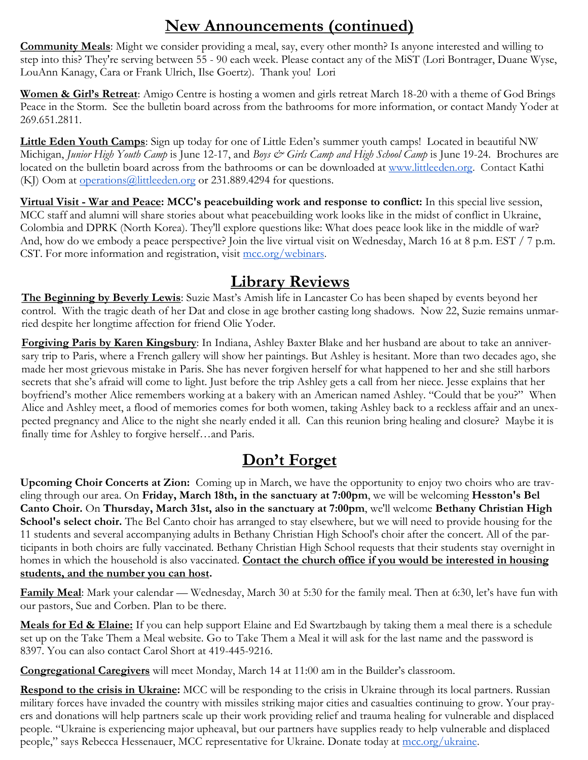#### **New Announcements (continued)**

**Community Meals**: Might we consider providing a meal, say, every other month? Is anyone interested and willing to step into this? They're serving between 55 - 90 each week. Please contact any of the MiST (Lori Bontrager, Duane Wyse, LouAnn Kanagy, Cara or Frank Ulrich, Ilse Goertz). Thank you! Lori

**Women & Girl's Retreat**: Amigo Centre is hosting a women and girls retreat March 18-20 with a theme of God Brings Peace in the Storm. See the bulletin board across from the bathrooms for more information, or contact Mandy Yoder at 269.651.2811.

**Little Eden Youth Camps**: Sign up today for one of Little Eden's summer youth camps! Located in beautiful NW Michigan, *Junior High Youth Camp* is June 12-17, and *Boys & Girls Camp and High School Camp* is June 19-24. Brochures are located on the bulletin board across from the bathrooms or can be downloaded at [www.littleeden.org.](http://www.littleeden.org) Contact Kathi (KJ) Oom at **operations** @littleeden.org or 231.889.4294 for questions.

**Virtual Visit - War and Peace: MCC's peacebuilding work and response to conflict:** In this special live session, MCC staff and alumni will share stories about what peacebuilding work looks like in the midst of conflict in Ukraine, Colombia and DPRK (North Korea). They'll explore questions like: What does peace look like in the middle of war? And, how do we embody a peace perspective? Join the live virtual visit on Wednesday, March 16 at 8 p.m. EST / 7 p.m. CST. For more information and registration, visit [mcc.org/webinars.](https://mcc.org/mcc-webinar-series)

#### **Library Reviews**

**The Beginning by Beverly Lewis**: Suzie Mast's Amish life in Lancaster Co has been shaped by events beyond her control. With the tragic death of her Dat and close in age brother casting long shadows. Now 22, Suzie remains unmarried despite her longtime affection for friend Olie Yoder.

**Forgiving Paris by Karen Kingsbury**: In Indiana, Ashley Baxter Blake and her husband are about to take an anniversary trip to Paris, where a French gallery will show her paintings. But Ashley is hesitant. More than two decades ago, she made her most grievous mistake in Paris. She has never forgiven herself for what happened to her and she still harbors secrets that she's afraid will come to light. Just before the trip Ashley gets a call from her niece. Jesse explains that her boyfriend's mother Alice remembers working at a bakery with an American named Ashley. "Could that be you?" When Alice and Ashley meet, a flood of memories comes for both women, taking Ashley back to a reckless affair and an unexpected pregnancy and Alice to the night she nearly ended it all. Can this reunion bring healing and closure? Maybe it is finally time for Ashley to forgive herself…and Paris.

#### **Don't Forget**

**Upcoming Choir Concerts at Zion:** Coming up in March, we have the opportunity to enjoy two choirs who are traveling through our area. On **Friday, March 18th, in the sanctuary at 7:00pm**, we will be welcoming **Hesston's Bel Canto Choir.** On **Thursday, March 31st, also in the sanctuary at 7:00pm**, we'll welcome **Bethany Christian High School's select choir.** The Bel Canto choir has arranged to stay elsewhere, but we will need to provide housing for the 11 students and several accompanying adults in Bethany Christian High School's choir after the concert. All of the participants in both choirs are fully vaccinated. Bethany Christian High School requests that their students stay overnight in homes in which the household is also vaccinated. **Contact the church office if you would be interested in housing students, and the number you can host.** 

**Family Meal**: Mark your calendar — Wednesday, March 30 at 5:30 for the family meal. Then at 6:30, let's have fun with our pastors, Sue and Corben. Plan to be there.

**Meals for Ed & Elaine:** If you can help support Elaine and Ed Swartzbaugh by taking them a meal there is a schedule set up on the Take Them a Meal website. Go to Take Them a Meal it will ask for the last name and the password is 8397. You can also contact Carol Short at 419-445-9216.

**Congregational Caregivers** will meet Monday, March 14 at 11:00 am in the Builder's classroom.

**Respond to the crisis in Ukraine:** MCC will be responding to the crisis in Ukraine through its local partners. Russian military forces have invaded the country with missiles striking major cities and casualties continuing to grow. Your prayers and donations will help partners scale up their work providing relief and trauma healing for vulnerable and displaced people. "Ukraine is experiencing major upheaval, but our partners have supplies ready to help vulnerable and displaced people," says Rebecca Hessenauer, MCC representative for Ukraine. Donate today at [mcc.org/ukraine.](https://donate.mcc.org/cause/ukraine-emergency-response)